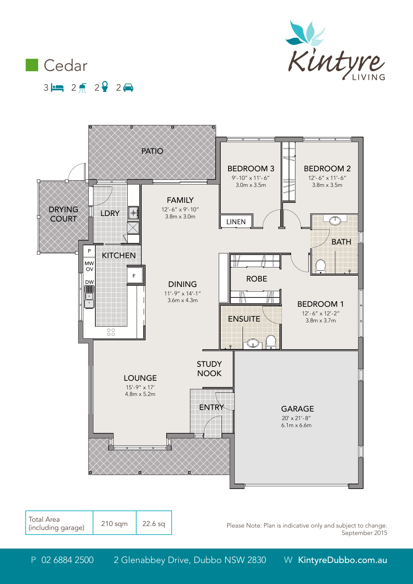



0

1m 2m 3m 4m 5m



| Please Note: Plan is indicative only and subject to change. |  |                |
|-------------------------------------------------------------|--|----------------|
|                                                             |  | September 2015 |